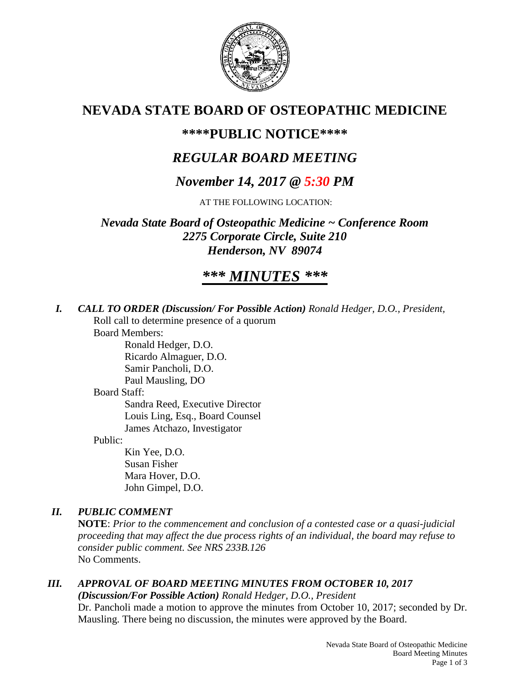

# **NEVADA STATE BOARD OF OSTEOPATHIC MEDICINE**

## **\*\*\*\*PUBLIC NOTICE\*\*\*\***

# *REGULAR BOARD MEETING*

# *November 14, 2017 @ 5:30 PM*

AT THE FOLLOWING LOCATION:

*Nevada State Board of Osteopathic Medicine ~ Conference Room 2275 Corporate Circle, Suite 210 Henderson, NV 89074*

# *\*\*\* MINUTES \*\*\**

*I. CALL TO ORDER (Discussion/ For Possible Action) Ronald Hedger, D.O., President,* Roll call to determine presence of a quorum

Board Members:

Ronald Hedger, D.O. Ricardo Almaguer, D.O. Samir Pancholi, D.O.

Paul Mausling, DO

#### Board Staff:

Sandra Reed, Executive Director Louis Ling, Esq., Board Counsel James Atchazo, Investigator

Public:

Kin Yee, D.O. Susan Fisher Mara Hover, D.O. John Gimpel, D.O.

### *II. PUBLIC COMMENT*

**NOTE**: *Prior to the commencement and conclusion of a contested case or a quasi-judicial proceeding that may affect the due process rights of an individual, the board may refuse to consider public comment. See NRS 233B.126* No Comments.

## *III. APPROVAL OF BOARD MEETING MINUTES FROM OCTOBER 10, 2017*

*(Discussion/For Possible Action) Ronald Hedger, D.O., President* Dr. Pancholi made a motion to approve the minutes from October 10, 2017; seconded by Dr. Mausling. There being no discussion, the minutes were approved by the Board.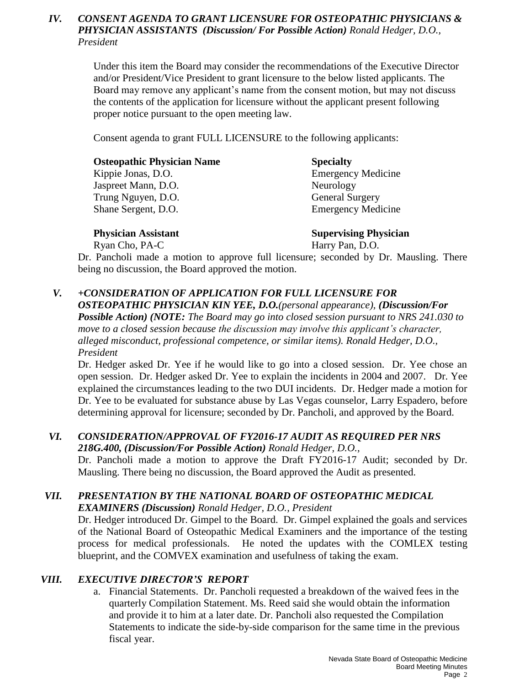#### *IV. CONSENT AGENDA TO GRANT LICENSURE FOR OSTEOPATHIC PHYSICIANS & PHYSICIAN ASSISTANTS (Discussion/ For Possible Action) Ronald Hedger, D.O., President*

Under this item the Board may consider the recommendations of the Executive Director and/or President/Vice President to grant licensure to the below listed applicants. The Board may remove any applicant's name from the consent motion, but may not discuss the contents of the application for licensure without the applicant present following proper notice pursuant to the open meeting law.

Consent agenda to grant FULL LICENSURE to the following applicants:

| <b>Osteopathic Physician Name</b> | <b>Specialty</b>          |
|-----------------------------------|---------------------------|
| Kippie Jonas, D.O.                | <b>Emergency Medicine</b> |
| Jaspreet Mann, D.O.               | Neurology                 |
| Trung Nguyen, D.O.                | <b>General Surgery</b>    |
| Shane Sergent, D.O.               | <b>Emergency Medicine</b> |
|                                   |                           |

**Physician Assistant Supervising Physician** Ryan Cho, PA-C Harry Pan, D.O.

Dr. Pancholi made a motion to approve full licensure; seconded by Dr. Mausling. There being no discussion, the Board approved the motion.

#### *V. +CONSIDERATION OF APPLICATION FOR FULL LICENSURE FOR*

*OSTEOPATHIC PHYSICIAN KIN YEE, D.O.(personal appearance), (Discussion/For Possible Action) (NOTE: The Board may go into closed session pursuant to NRS 241.030 to move to a closed session because the discussion may involve this applicant's character, alleged misconduct, professional competence, or similar items). Ronald Hedger, D.O., President* 

Dr. Hedger asked Dr. Yee if he would like to go into a closed session. Dr. Yee chose an open session. Dr. Hedger asked Dr. Yee to explain the incidents in 2004 and 2007. Dr. Yee explained the circumstances leading to the two DUI incidents. Dr. Hedger made a motion for Dr. Yee to be evaluated for substance abuse by Las Vegas counselor, Larry Espadero, before determining approval for licensure; seconded by Dr. Pancholi, and approved by the Board.

#### *VI. CONSIDERATION/APPROVAL OF FY2016-17 AUDIT AS REQUIRED PER NRS 218G.400, (Discussion/For Possible Action) Ronald Hedger, D.O.,*

Dr. Pancholi made a motion to approve the Draft FY2016-17 Audit; seconded by Dr. Mausling. There being no discussion, the Board approved the Audit as presented.

## *VII. PRESENTATION BY THE NATIONAL BOARD OF OSTEOPATHIC MEDICAL*

*EXAMINERS (Discussion) Ronald Hedger, D.O., President*

Dr. Hedger introduced Dr. Gimpel to the Board. Dr. Gimpel explained the goals and services of the National Board of Osteopathic Medical Examiners and the importance of the testing process for medical professionals. He noted the updates with the COMLEX testing blueprint, and the COMVEX examination and usefulness of taking the exam.

#### *VIII. EXECUTIVE DIRECTOR'S REPORT*

a. Financial Statements. Dr. Pancholi requested a breakdown of the waived fees in the quarterly Compilation Statement. Ms. Reed said she would obtain the information and provide it to him at a later date. Dr. Pancholi also requested the Compilation Statements to indicate the side-by-side comparison for the same time in the previous fiscal year.